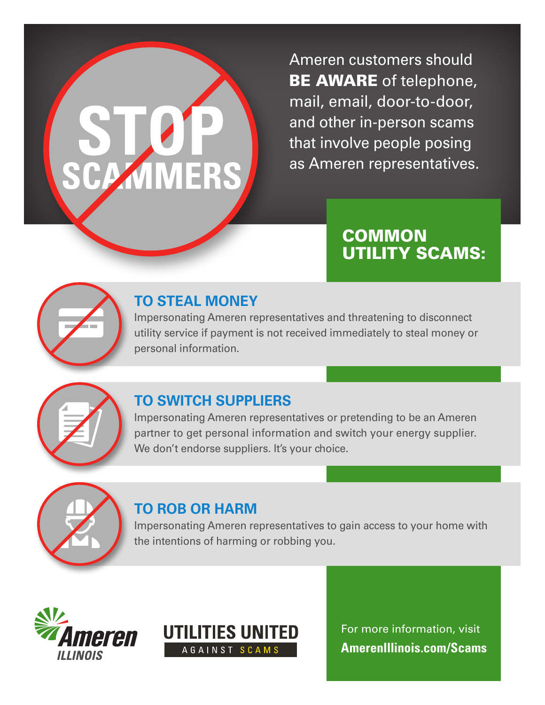# **CAMIN**

Ameren customers should BE AWARE of telephone, mail, email, door-to-door, and other in-person scams that involve people posing as Ameren representatives.

# **COMMON** UTILITY SCAMS:



# **TO STEAL MONEY**

Impersonating Ameren representatives and threatening to disconnect utility service if payment is not received immediately to steal money or personal information.



### **TO SWITCH SUPPLIERS**

Impersonating Ameren representatives or pretending to be an Ameren partner to get personal information and switch your energy supplier. We don't endorse suppliers. It's your choice.



### **TO ROB OR HARM**

Impersonating Ameren representatives to gain access to your home with the intentions of harming or robbing you.





For more information, visit **AmerenIllinois.com/Scams**